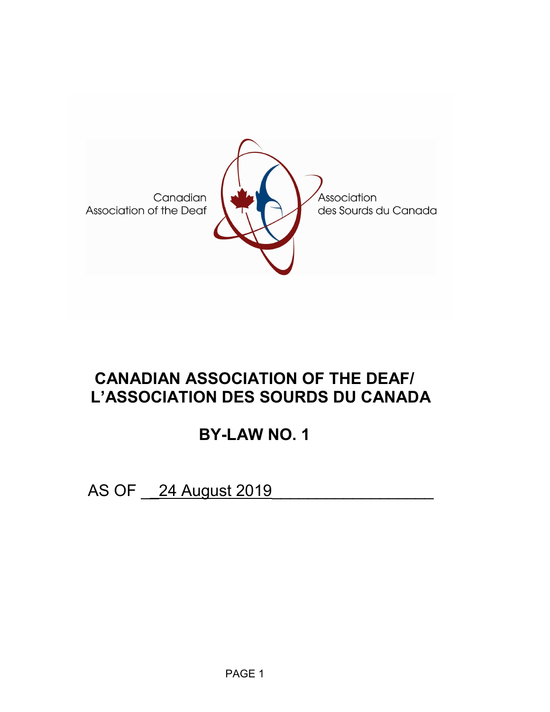

# **CANADIAN ASSOCIATION OF THE DEAF/ L'ASSOCIATION DES SOURDS DU CANADA**

# **BY-LAW NO. 1**

AS OF <u>24 August 2019</u>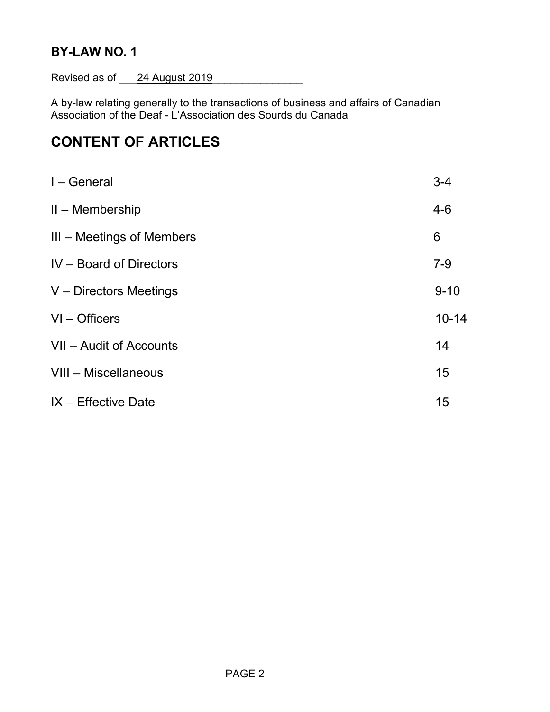## **BY-LAW NO. 1**

Revised as of 24 August 2019

A by-law relating generally to the transactions of business and affairs of Canadian Association of the Deaf - L'Association des Sourds du Canada

## **CONTENT OF ARTICLES**

| I – General               | $3 - 4$   |
|---------------------------|-----------|
| $II$ – Membership         | $4 - 6$   |
| III – Meetings of Members | 6         |
| IV - Board of Directors   | $7 - 9$   |
| V - Directors Meetings    | $9 - 10$  |
| $VI - Officers$           | $10 - 14$ |
| VII - Audit of Accounts   | 14        |
| VIII - Miscellaneous      | 15        |
| IX - Effective Date       | 15        |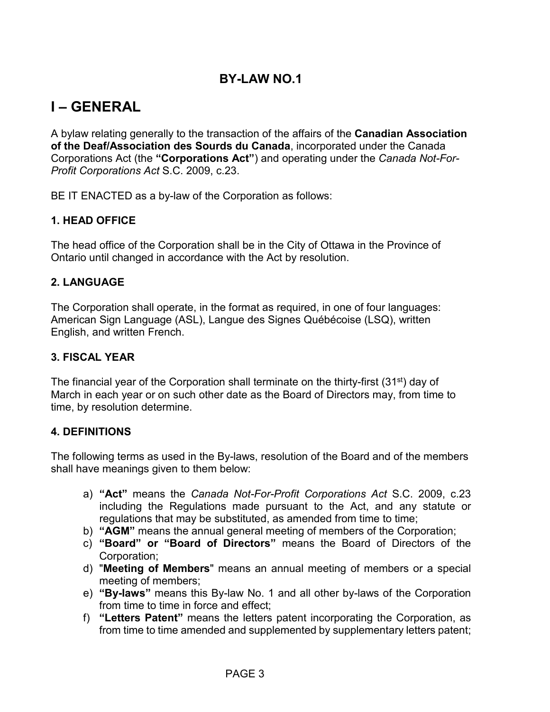## **BY-LAW NO.1**

## **I – GENERAL**

A bylaw relating generally to the transaction of the affairs of the **Canadian Association of the Deaf/Association des Sourds du Canada**, incorporated under the Canada Corporations Act (the **"Corporations Act"**) and operating under the *Canada Not-For-Profit Corporations Act* S.C. 2009, c.23.

BE IT ENACTED as a by-law of the Corporation as follows:

### **1. HEAD OFFICE**

The head office of the Corporation shall be in the City of Ottawa in the Province of Ontario until changed in accordance with the Act by resolution.

#### **2. LANGUAGE**

The Corporation shall operate, in the format as required, in one of four languages: American Sign Language (ASL), Langue des Signes Québécoise (LSQ), written English, and written French.

#### **3. FISCAL YEAR**

The financial year of the Corporation shall terminate on the thirty-first (31<sup>st</sup>) day of March in each year or on such other date as the Board of Directors may, from time to time, by resolution determine.

#### **4. DEFINITIONS**

The following terms as used in the By-laws, resolution of the Board and of the members shall have meanings given to them below:

- a) **"Act"** means the *Canada Not-For-Profit Corporations Act* S.C. 2009, c.23 including the Regulations made pursuant to the Act, and any statute or regulations that may be substituted, as amended from time to time;
- b) **"AGM"** means the annual general meeting of members of the Corporation;
- c) **"Board" or "Board of Directors"** means the Board of Directors of the Corporation;
- d) "**Meeting of Members**" means an annual meeting of members or a special meeting of members;
- e) **"By-laws"** means this By-law No. 1 and all other by-laws of the Corporation from time to time in force and effect;
- f) **"Letters Patent"** means the letters patent incorporating the Corporation, as from time to time amended and supplemented by supplementary letters patent;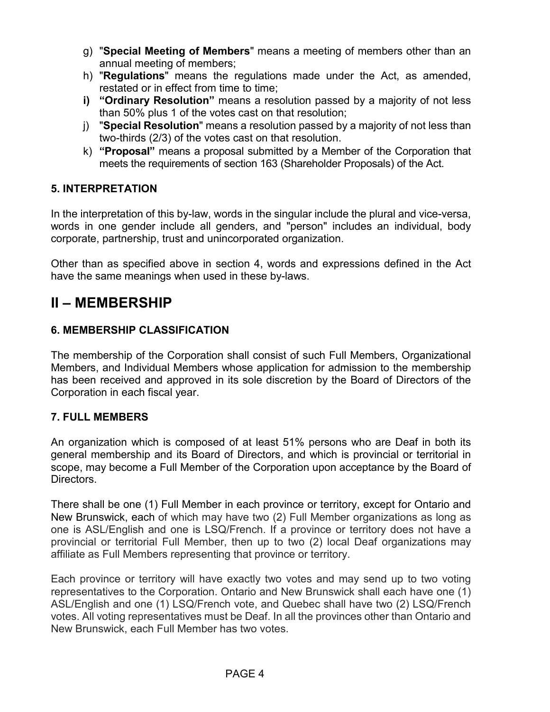- g) "**Special Meeting of Members**" means a meeting of members other than an annual meeting of members;
- h) "**Regulations**" means the regulations made under the Act, as amended, restated or in effect from time to time;
- **i) "Ordinary Resolution"** means a resolution passed by a majority of not less than 50% plus 1 of the votes cast on that resolution;
- j) "**Special Resolution**" means a resolution passed by a majority of not less than two-thirds (2/3) of the votes cast on that resolution.
- k) **"Proposal"** means a proposal submitted by a Member of the Corporation that meets the requirements of section 163 (Shareholder Proposals) of the Act.

## **5. INTERPRETATION**

In the interpretation of this by-law, words in the singular include the plural and vice-versa, words in one gender include all genders, and "person" includes an individual, body corporate, partnership, trust and unincorporated organization.

Other than as specified above in section 4, words and expressions defined in the Act have the same meanings when used in these by-laws.

## **II – MEMBERSHIP**

## **6. MEMBERSHIP CLASSIFICATION**

The membership of the Corporation shall consist of such Full Members, Organizational Members, and Individual Members whose application for admission to the membership has been received and approved in its sole discretion by the Board of Directors of the Corporation in each fiscal year.

## **7. FULL MEMBERS**

An organization which is composed of at least 51% persons who are Deaf in both its general membership and its Board of Directors, and which is provincial or territorial in scope, may become a Full Member of the Corporation upon acceptance by the Board of Directors.

There shall be one (1) Full Member in each province or territory, except for Ontario and New Brunswick, each of which may have two (2) Full Member organizations as long as one is ASL/English and one is LSQ/French. If a province or territory does not have a provincial or territorial Full Member, then up to two (2) local Deaf organizations may affiliate as Full Members representing that province or territory.

Each province or territory will have exactly two votes and may send up to two voting representatives to the Corporation. Ontario and New Brunswick shall each have one (1) ASL/English and one (1) LSQ/French vote, and Quebec shall have two (2) LSQ/French votes. All voting representatives must be Deaf. In all the provinces other than Ontario and New Brunswick, each Full Member has two votes.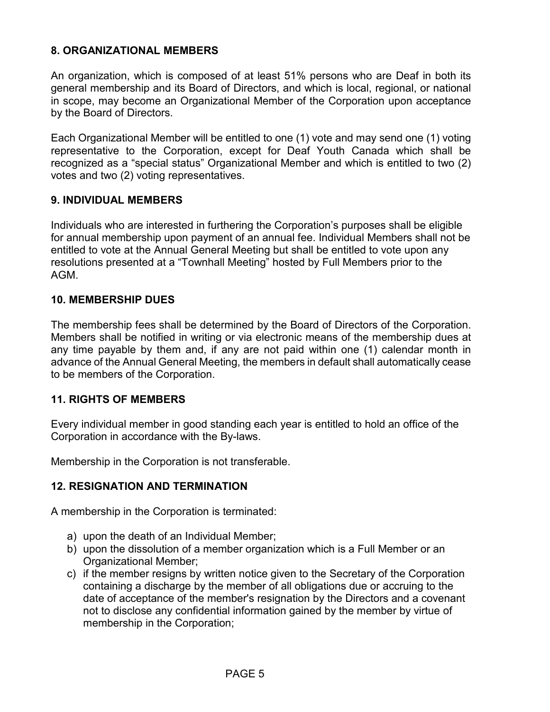### **8. ORGANIZATIONAL MEMBERS**

An organization, which is composed of at least 51% persons who are Deaf in both its general membership and its Board of Directors, and which is local, regional, or national in scope, may become an Organizational Member of the Corporation upon acceptance by the Board of Directors.

Each Organizational Member will be entitled to one (1) vote and may send one (1) voting representative to the Corporation, except for Deaf Youth Canada which shall be recognized as a "special status" Organizational Member and which is entitled to two (2) votes and two (2) voting representatives.

### **9. INDIVIDUAL MEMBERS**

Individuals who are interested in furthering the Corporation's purposes shall be eligible for annual membership upon payment of an annual fee. Individual Members shall not be entitled to vote at the Annual General Meeting but shall be entitled to vote upon any resolutions presented at a "Townhall Meeting" hosted by Full Members prior to the AGM.

#### **10. MEMBERSHIP DUES**

The membership fees shall be determined by the Board of Directors of the Corporation. Members shall be notified in writing or via electronic means of the membership dues at any time payable by them and, if any are not paid within one (1) calendar month in advance of the Annual General Meeting, the members in default shall automatically cease to be members of the Corporation.

#### **11. RIGHTS OF MEMBERS**

Every individual member in good standing each year is entitled to hold an office of the Corporation in accordance with the By-laws.

Membership in the Corporation is not transferable.

## **12. RESIGNATION AND TERMINATION**

A membership in the Corporation is terminated:

- a) upon the death of an Individual Member;
- b) upon the dissolution of a member organization which is a Full Member or an Organizational Member;
- c) if the member resigns by written notice given to the Secretary of the Corporation containing a discharge by the member of all obligations due or accruing to the date of acceptance of the member's resignation by the Directors and a covenant not to disclose any confidential information gained by the member by virtue of membership in the Corporation;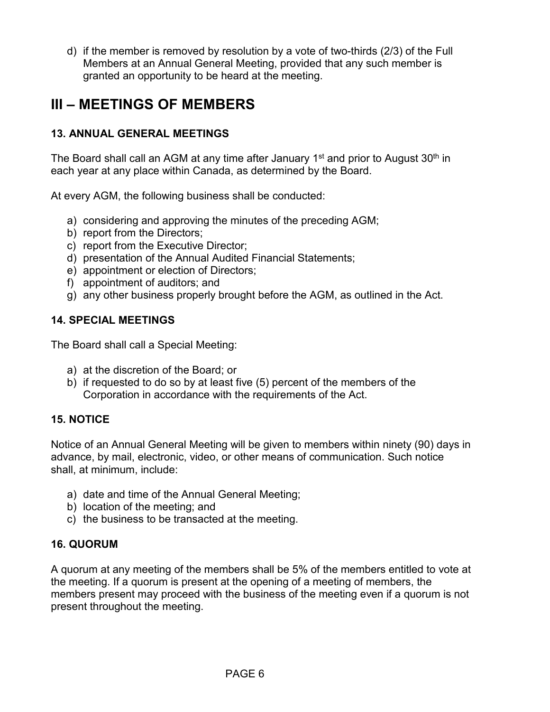d) if the member is removed by resolution by a vote of two-thirds (2/3) of the Full Members at an Annual General Meeting, provided that any such member is granted an opportunity to be heard at the meeting.

## **III – MEETINGS OF MEMBERS**

## **13. ANNUAL GENERAL MEETINGS**

The Board shall call an AGM at any time after January  $1<sup>st</sup>$  and prior to August  $30<sup>th</sup>$  in each year at any place within Canada, as determined by the Board.

At every AGM, the following business shall be conducted:

- a) considering and approving the minutes of the preceding AGM;
- b) report from the Directors;
- c) report from the Executive Director;
- d) presentation of the Annual Audited Financial Statements;
- e) appointment or election of Directors;
- f) appointment of auditors; and
- g) any other business properly brought before the AGM, as outlined in the Act.

## **14. SPECIAL MEETINGS**

The Board shall call a Special Meeting:

- a) at the discretion of the Board; or
- b) if requested to do so by at least five (5) percent of the members of the Corporation in accordance with the requirements of the Act.

## **15. NOTICE**

Notice of an Annual General Meeting will be given to members within ninety (90) days in advance, by mail, electronic, video, or other means of communication. Such notice shall, at minimum, include:

- a) date and time of the Annual General Meeting;
- b) location of the meeting; and
- c) the business to be transacted at the meeting.

## **16. QUORUM**

A quorum at any meeting of the members shall be 5% of the members entitled to vote at the meeting. If a quorum is present at the opening of a meeting of members, the members present may proceed with the business of the meeting even if a quorum is not present throughout the meeting.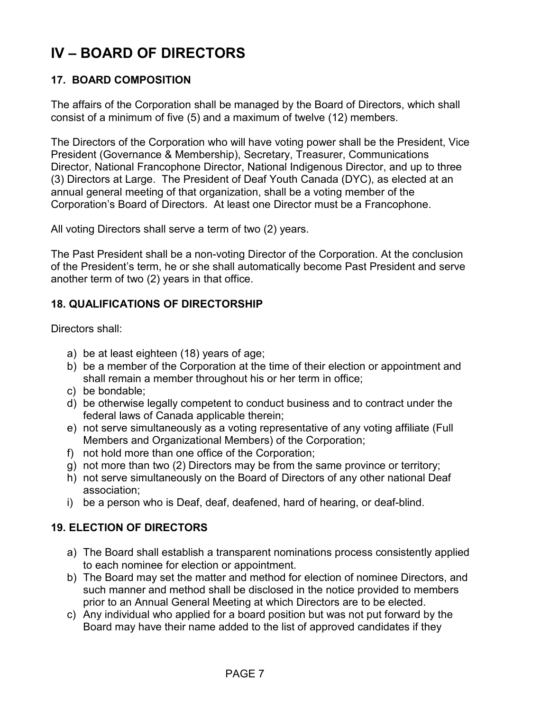# **IV – BOARD OF DIRECTORS**

## **17. BOARD COMPOSITION**

The affairs of the Corporation shall be managed by the Board of Directors, which shall consist of a minimum of five (5) and a maximum of twelve (12) members.

The Directors of the Corporation who will have voting power shall be the President, Vice President (Governance & Membership), Secretary, Treasurer, Communications Director, National Francophone Director, National Indigenous Director, and up to three (3) Directors at Large. The President of Deaf Youth Canada (DYC), as elected at an annual general meeting of that organization, shall be a voting member of the Corporation's Board of Directors. At least one Director must be a Francophone.

All voting Directors shall serve a term of two (2) years.

The Past President shall be a non-voting Director of the Corporation. At the conclusion of the President's term, he or she shall automatically become Past President and serve another term of two (2) years in that office.

### **18. QUALIFICATIONS OF DIRECTORSHIP**

Directors shall:

- a) be at least eighteen (18) years of age;
- b) be a member of the Corporation at the time of their election or appointment and shall remain a member throughout his or her term in office;
- c) be bondable;
- d) be otherwise legally competent to conduct business and to contract under the federal laws of Canada applicable therein;
- e) not serve simultaneously as a voting representative of any voting affiliate (Full Members and Organizational Members) of the Corporation;
- f) not hold more than one office of the Corporation;
- g) not more than two (2) Directors may be from the same province or territory;
- h) not serve simultaneously on the Board of Directors of any other national Deaf association;
- i) be a person who is Deaf, deaf, deafened, hard of hearing, or deaf-blind.

#### **19. ELECTION OF DIRECTORS**

- a) The Board shall establish a transparent nominations process consistently applied to each nominee for election or appointment.
- b) The Board may set the matter and method for election of nominee Directors, and such manner and method shall be disclosed in the notice provided to members prior to an Annual General Meeting at which Directors are to be elected.
- c) Any individual who applied for a board position but was not put forward by the Board may have their name added to the list of approved candidates if they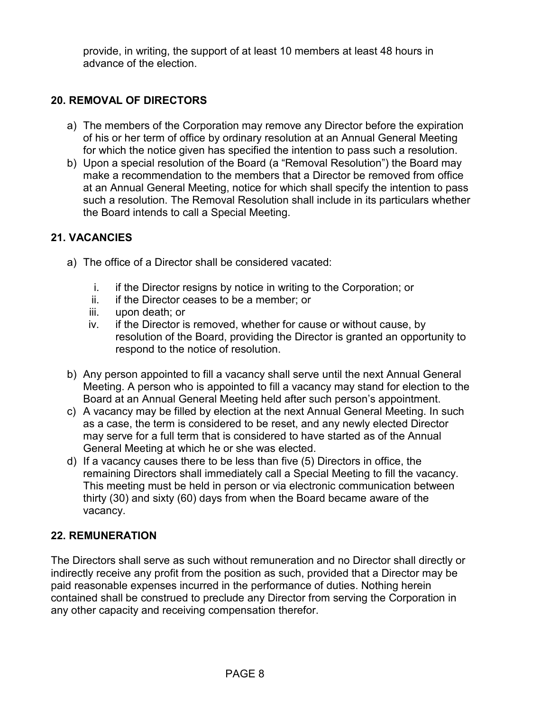provide, in writing, the support of at least 10 members at least 48 hours in advance of the election.

## **20. REMOVAL OF DIRECTORS**

- a) The members of the Corporation may remove any Director before the expiration of his or her term of office by ordinary resolution at an Annual General Meeting for which the notice given has specified the intention to pass such a resolution.
- b) Upon a special resolution of the Board (a "Removal Resolution") the Board may make a recommendation to the members that a Director be removed from office at an Annual General Meeting, notice for which shall specify the intention to pass such a resolution. The Removal Resolution shall include in its particulars whether the Board intends to call a Special Meeting.

## **21. VACANCIES**

- a) The office of a Director shall be considered vacated:
	- i. if the Director resigns by notice in writing to the Corporation; or
	- ii. if the Director ceases to be a member; or
	- iii. upon death; or
	- iv. if the Director is removed, whether for cause or without cause, by resolution of the Board, providing the Director is granted an opportunity to respond to the notice of resolution.
- b) Any person appointed to fill a vacancy shall serve until the next Annual General Meeting. A person who is appointed to fill a vacancy may stand for election to the Board at an Annual General Meeting held after such person's appointment.
- c) A vacancy may be filled by election at the next Annual General Meeting. In such as a case, the term is considered to be reset, and any newly elected Director may serve for a full term that is considered to have started as of the Annual General Meeting at which he or she was elected.
- d) If a vacancy causes there to be less than five (5) Directors in office, the remaining Directors shall immediately call a Special Meeting to fill the vacancy. This meeting must be held in person or via electronic communication between thirty (30) and sixty (60) days from when the Board became aware of the vacancy.

## **22. REMUNERATION**

The Directors shall serve as such without remuneration and no Director shall directly or indirectly receive any profit from the position as such, provided that a Director may be paid reasonable expenses incurred in the performance of duties. Nothing herein contained shall be construed to preclude any Director from serving the Corporation in any other capacity and receiving compensation therefor.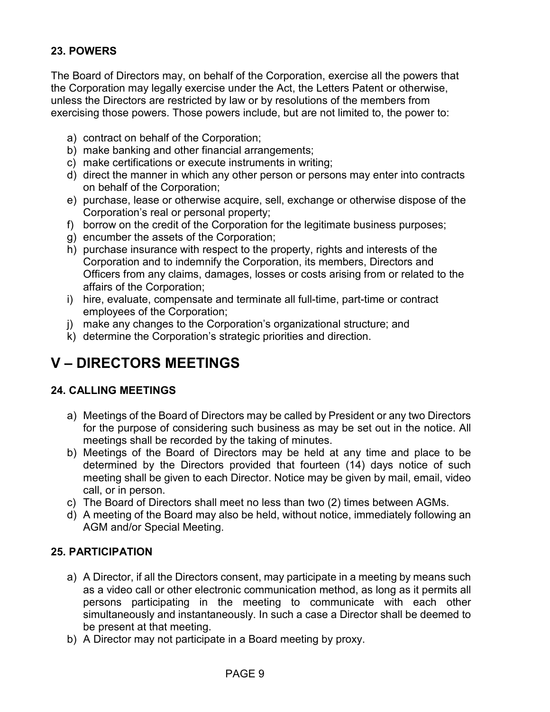## **23. POWERS**

The Board of Directors may, on behalf of the Corporation, exercise all the powers that the Corporation may legally exercise under the Act, the Letters Patent or otherwise, unless the Directors are restricted by law or by resolutions of the members from exercising those powers. Those powers include, but are not limited to, the power to:

- a) contract on behalf of the Corporation;
- b) make banking and other financial arrangements;
- c) make certifications or execute instruments in writing;
- d) direct the manner in which any other person or persons may enter into contracts on behalf of the Corporation;
- e) purchase, lease or otherwise acquire, sell, exchange or otherwise dispose of the Corporation's real or personal property;
- f) borrow on the credit of the Corporation for the legitimate business purposes;
- g) encumber the assets of the Corporation;
- h) purchase insurance with respect to the property, rights and interests of the Corporation and to indemnify the Corporation, its members, Directors and Officers from any claims, damages, losses or costs arising from or related to the affairs of the Corporation;
- i) hire, evaluate, compensate and terminate all full-time, part-time or contract employees of the Corporation;
- j) make any changes to the Corporation's organizational structure; and
- k) determine the Corporation's strategic priorities and direction.

## **V – DIRECTORS MEETINGS**

## **24. CALLING MEETINGS**

- a) Meetings of the Board of Directors may be called by President or any two Directors for the purpose of considering such business as may be set out in the notice. All meetings shall be recorded by the taking of minutes.
- b) Meetings of the Board of Directors may be held at any time and place to be determined by the Directors provided that fourteen (14) days notice of such meeting shall be given to each Director. Notice may be given by mail, email, video call, or in person.
- c) The Board of Directors shall meet no less than two (2) times between AGMs.
- d) A meeting of the Board may also be held, without notice, immediately following an AGM and/or Special Meeting.

## **25. PARTICIPATION**

- a) A Director, if all the Directors consent, may participate in a meeting by means such as a video call or other electronic communication method, as long as it permits all persons participating in the meeting to communicate with each other simultaneously and instantaneously. In such a case a Director shall be deemed to be present at that meeting.
- b) A Director may not participate in a Board meeting by proxy.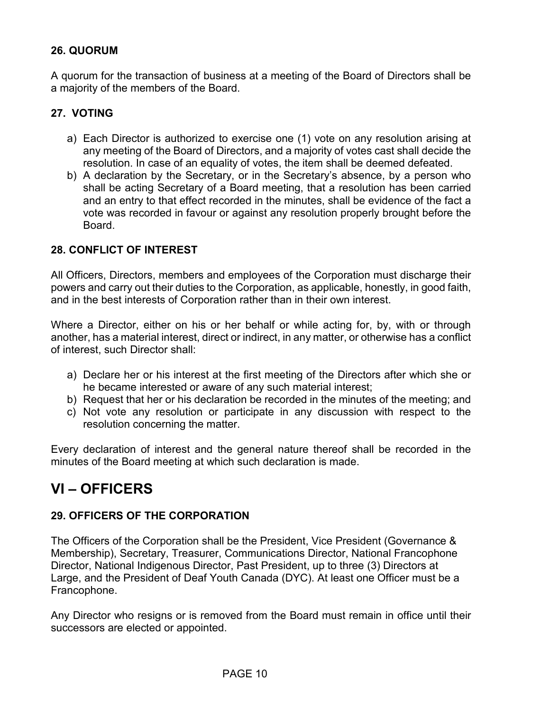## **26. QUORUM**

A quorum for the transaction of business at a meeting of the Board of Directors shall be a majority of the members of the Board.

## **27. VOTING**

- a) Each Director is authorized to exercise one (1) vote on any resolution arising at any meeting of the Board of Directors, and a majority of votes cast shall decide the resolution. In case of an equality of votes, the item shall be deemed defeated.
- b) A declaration by the Secretary, or in the Secretary's absence, by a person who shall be acting Secretary of a Board meeting, that a resolution has been carried and an entry to that effect recorded in the minutes, shall be evidence of the fact a vote was recorded in favour or against any resolution properly brought before the Board.

## **28. CONFLICT OF INTEREST**

All Officers, Directors, members and employees of the Corporation must discharge their powers and carry out their duties to the Corporation, as applicable, honestly, in good faith, and in the best interests of Corporation rather than in their own interest.

Where a Director, either on his or her behalf or while acting for, by, with or through another, has a material interest, direct or indirect, in any matter, or otherwise has a conflict of interest, such Director shall:

- a) Declare her or his interest at the first meeting of the Directors after which she or he became interested or aware of any such material interest;
- b) Request that her or his declaration be recorded in the minutes of the meeting; and
- c) Not vote any resolution or participate in any discussion with respect to the resolution concerning the matter.

Every declaration of interest and the general nature thereof shall be recorded in the minutes of the Board meeting at which such declaration is made.

## **VI – OFFICERS**

## **29. OFFICERS OF THE CORPORATION**

The Officers of the Corporation shall be the President, Vice President (Governance & Membership), Secretary, Treasurer, Communications Director, National Francophone Director, National Indigenous Director, Past President, up to three (3) Directors at Large, and the President of Deaf Youth Canada (DYC). At least one Officer must be a Francophone.

Any Director who resigns or is removed from the Board must remain in office until their successors are elected or appointed.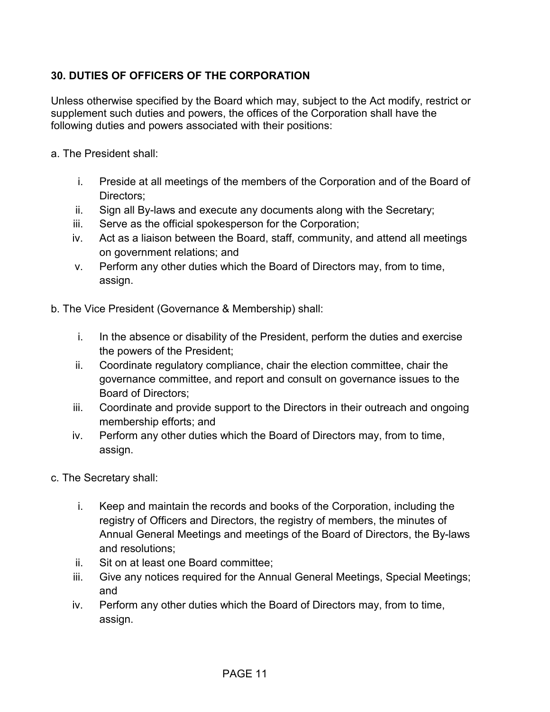## **30. DUTIES OF OFFICERS OF THE CORPORATION**

Unless otherwise specified by the Board which may, subject to the Act modify, restrict or supplement such duties and powers, the offices of the Corporation shall have the following duties and powers associated with their positions:

- a. The President shall:
	- i. Preside at all meetings of the members of the Corporation and of the Board of Directors;
	- ii. Sign all By-laws and execute any documents along with the Secretary;
	- iii. Serve as the official spokesperson for the Corporation;
	- iv. Act as a liaison between the Board, staff, community, and attend all meetings on government relations; and
	- v. Perform any other duties which the Board of Directors may, from to time, assign.
- b. The Vice President (Governance & Membership) shall:
	- i. In the absence or disability of the President, perform the duties and exercise the powers of the President;
	- ii. Coordinate regulatory compliance, chair the election committee, chair the governance committee, and report and consult on governance issues to the Board of Directors;
	- iii. Coordinate and provide support to the Directors in their outreach and ongoing membership efforts; and
	- iv. Perform any other duties which the Board of Directors may, from to time, assign.
- c. The Secretary shall:
	- i. Keep and maintain the records and books of the Corporation, including the registry of Officers and Directors, the registry of members, the minutes of Annual General Meetings and meetings of the Board of Directors, the By-laws and resolutions;
	- ii. Sit on at least one Board committee;
	- iii. Give any notices required for the Annual General Meetings, Special Meetings; and
	- iv. Perform any other duties which the Board of Directors may, from to time, assign.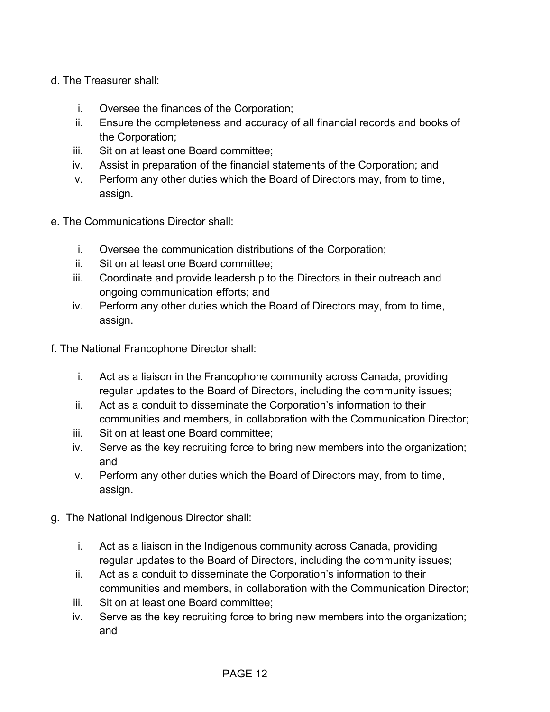- d. The Treasurer shall:
	- i. Oversee the finances of the Corporation;
	- ii. Ensure the completeness and accuracy of all financial records and books of the Corporation;
	- iii. Sit on at least one Board committee;
	- iv. Assist in preparation of the financial statements of the Corporation; and
	- v. Perform any other duties which the Board of Directors may, from to time, assign.
- e. The Communications Director shall:
	- i. Oversee the communication distributions of the Corporation;
	- ii. Sit on at least one Board committee;
	- iii. Coordinate and provide leadership to the Directors in their outreach and ongoing communication efforts; and
	- iv. Perform any other duties which the Board of Directors may, from to time, assign.
- f. The National Francophone Director shall:
	- i. Act as a liaison in the Francophone community across Canada, providing regular updates to the Board of Directors, including the community issues;
	- ii. Act as a conduit to disseminate the Corporation's information to their communities and members, in collaboration with the Communication Director;
	- iii. Sit on at least one Board committee;
	- iv. Serve as the key recruiting force to bring new members into the organization; and
	- v. Perform any other duties which the Board of Directors may, from to time, assign.
- g. The National Indigenous Director shall:
	- i. Act as a liaison in the Indigenous community across Canada, providing regular updates to the Board of Directors, including the community issues;
	- ii. Act as a conduit to disseminate the Corporation's information to their communities and members, in collaboration with the Communication Director;
	- iii. Sit on at least one Board committee;
	- iv. Serve as the key recruiting force to bring new members into the organization; and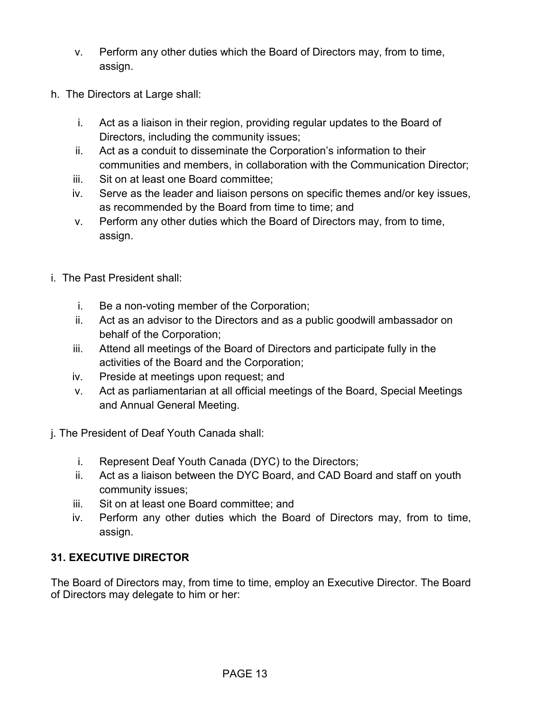- v. Perform any other duties which the Board of Directors may, from to time, assign.
- h. The Directors at Large shall:
	- i. Act as a liaison in their region, providing regular updates to the Board of Directors, including the community issues;
	- ii. Act as a conduit to disseminate the Corporation's information to their communities and members, in collaboration with the Communication Director;
	- iii. Sit on at least one Board committee;
	- iv. Serve as the leader and liaison persons on specific themes and/or key issues, as recommended by the Board from time to time; and
	- v. Perform any other duties which the Board of Directors may, from to time, assign.
- i. The Past President shall:
	- i. Be a non-voting member of the Corporation;
	- ii. Act as an advisor to the Directors and as a public goodwill ambassador on behalf of the Corporation;
	- iii. Attend all meetings of the Board of Directors and participate fully in the activities of the Board and the Corporation;
	- iv. Preside at meetings upon request; and
	- v. Act as parliamentarian at all official meetings of the Board, Special Meetings and Annual General Meeting.
- j. The President of Deaf Youth Canada shall:
	- i. Represent Deaf Youth Canada (DYC) to the Directors;
	- ii. Act as a liaison between the DYC Board, and CAD Board and staff on youth community issues;
	- iii. Sit on at least one Board committee; and
	- iv. Perform any other duties which the Board of Directors may, from to time, assign.

## **31. EXECUTIVE DIRECTOR**

The Board of Directors may, from time to time, employ an Executive Director. The Board of Directors may delegate to him or her: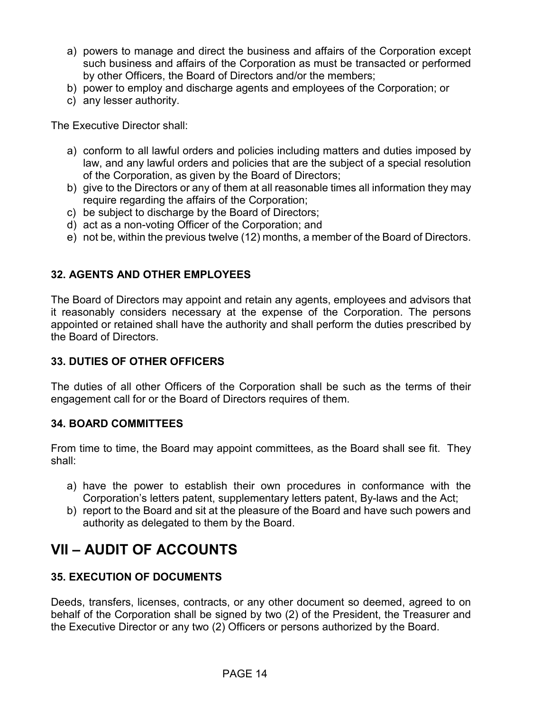- a) powers to manage and direct the business and affairs of the Corporation except such business and affairs of the Corporation as must be transacted or performed by other Officers, the Board of Directors and/or the members;
- b) power to employ and discharge agents and employees of the Corporation; or
- c) any lesser authority.

The Executive Director shall:

- a) conform to all lawful orders and policies including matters and duties imposed by law, and any lawful orders and policies that are the subject of a special resolution of the Corporation, as given by the Board of Directors;
- b) give to the Directors or any of them at all reasonable times all information they may require regarding the affairs of the Corporation;
- c) be subject to discharge by the Board of Directors;
- d) act as a non-voting Officer of the Corporation; and
- e) not be, within the previous twelve (12) months, a member of the Board of Directors.

## **32. AGENTS AND OTHER EMPLOYEES**

The Board of Directors may appoint and retain any agents, employees and advisors that it reasonably considers necessary at the expense of the Corporation. The persons appointed or retained shall have the authority and shall perform the duties prescribed by the Board of Directors.

## **33. DUTIES OF OTHER OFFICERS**

The duties of all other Officers of the Corporation shall be such as the terms of their engagement call for or the Board of Directors requires of them.

## **34. BOARD COMMITTEES**

From time to time, the Board may appoint committees, as the Board shall see fit. They shall:

- a) have the power to establish their own procedures in conformance with the Corporation's letters patent, supplementary letters patent, By-laws and the Act;
- b) report to the Board and sit at the pleasure of the Board and have such powers and authority as delegated to them by the Board.

## **VII – AUDIT OF ACCOUNTS**

## **35. EXECUTION OF DOCUMENTS**

Deeds, transfers, licenses, contracts, or any other document so deemed, agreed to on behalf of the Corporation shall be signed by two (2) of the President, the Treasurer and the Executive Director or any two (2) Officers or persons authorized by the Board.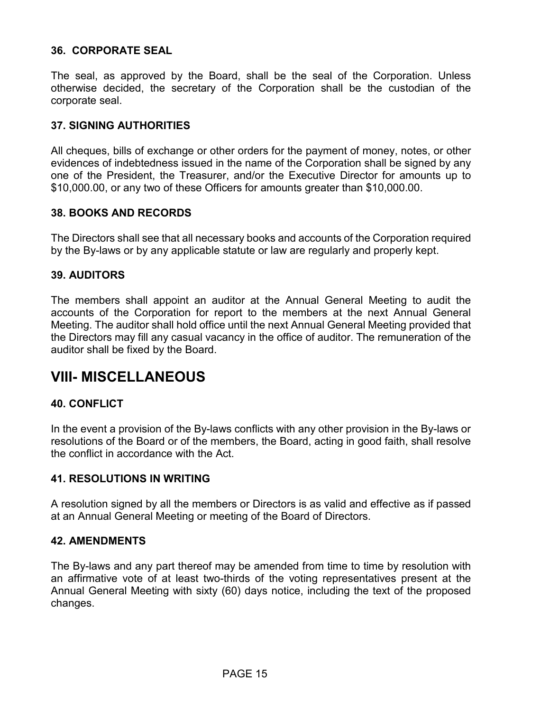### **36. CORPORATE SEAL**

The seal, as approved by the Board, shall be the seal of the Corporation. Unless otherwise decided, the secretary of the Corporation shall be the custodian of the corporate seal.

#### **37. SIGNING AUTHORITIES**

All cheques, bills of exchange or other orders for the payment of money, notes, or other evidences of indebtedness issued in the name of the Corporation shall be signed by any one of the President, the Treasurer, and/or the Executive Director for amounts up to \$10,000.00, or any two of these Officers for amounts greater than \$10,000.00.

### **38. BOOKS AND RECORDS**

The Directors shall see that all necessary books and accounts of the Corporation required by the By-laws or by any applicable statute or law are regularly and properly kept.

#### **39. AUDITORS**

The members shall appoint an auditor at the Annual General Meeting to audit the accounts of the Corporation for report to the members at the next Annual General Meeting. The auditor shall hold office until the next Annual General Meeting provided that the Directors may fill any casual vacancy in the office of auditor. The remuneration of the auditor shall be fixed by the Board.

## **VIII- MISCELLANEOUS**

#### **40. CONFLICT**

In the event a provision of the By-laws conflicts with any other provision in the By-laws or resolutions of the Board or of the members, the Board, acting in good faith, shall resolve the conflict in accordance with the Act.

#### **41. RESOLUTIONS IN WRITING**

A resolution signed by all the members or Directors is as valid and effective as if passed at an Annual General Meeting or meeting of the Board of Directors.

#### **42. AMENDMENTS**

The By-laws and any part thereof may be amended from time to time by resolution with an affirmative vote of at least two-thirds of the voting representatives present at the Annual General Meeting with sixty (60) days notice, including the text of the proposed changes.